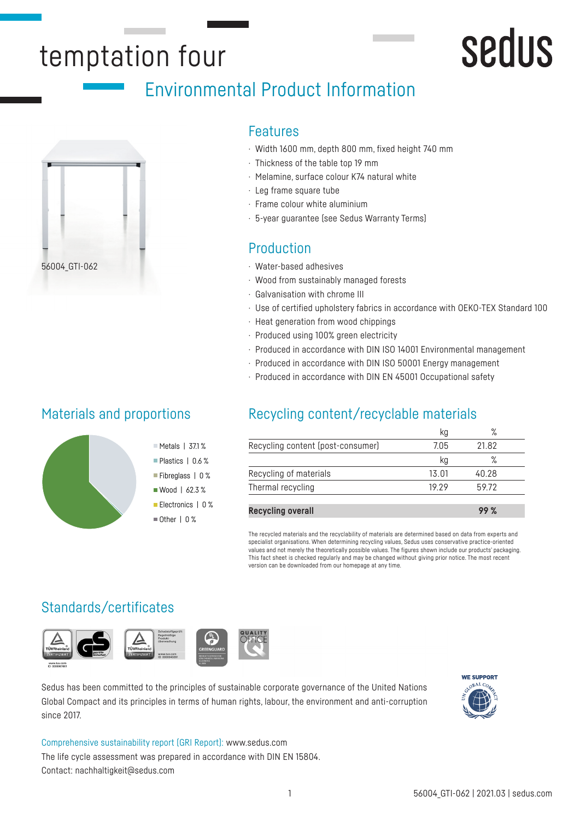## temptation four

## sedus

## Environmental Product Information



## Materials and proportions

#### Features

- · Width 1600 mm, depth 800 mm, fixed height 740 mm
- · Thickness of the table top 19 mm
- · Melamine, surface colour K74 natural white
- · Leg frame square tube
- · Frame colour white aluminium
- · 5-year guarantee (see Sedus Warranty Terms)

## Production

- · Water-based adhesives
- · Wood from sustainably managed forests
- · Galvanisation with chrome III
- · Use of certified upholstery fabrics in accordance with OEKO-TEX Standard 100
- · Heat generation from wood chippings
- · Produced using 100% green electricity
- · Produced in accordance with DIN ISO 14001 Environmental management
- · Produced in accordance with DIN ISO 50001 Energy management
- · Produced in accordance with DIN EN 45001 Occupational safety

## Recycling content/recyclable materials

|                                   | Кg    | $\%$  |  |
|-----------------------------------|-------|-------|--|
| Recycling content (post-consumer) | 7.05  | 21.82 |  |
|                                   | Кg    | ℅     |  |
| Recycling of materials            | 13.01 | 40.28 |  |
| Thermal recycling                 | 19 29 | 59.72 |  |
|                                   |       |       |  |
| <b>Recycling overall</b>          |       |       |  |

The recycled materials and the recyclability of materials are determined based on data from experts and specialist organisations. When determining recycling values, Sedus uses conservative practice-oriented values and not merely the theoretically possible values. The figures shown include our products' packaging. This fact sheet is checked regularly and may be changed without giving prior notice. The most recent version can be downloaded from our homepage at any time.

## Standards/certificates



Sedus has been committed to the principles of sustainable corporate governance of the United Nations Global Compact and its principles in terms of human rights, labour, the environment and anti-corruption since 2017.



Comprehensive sustainability report (GRI Report): www.sedus.com The life cycle assessment was prepared in accordance with DIN EN 15804. Contact: nachhaltigkeit@sedus.com

 $M$  Metals | 37.1% Plastics | 0.6 % Fibreglass | 0 %  $W$ ood | 62.3 % Electronics | 0 % Other | 0 %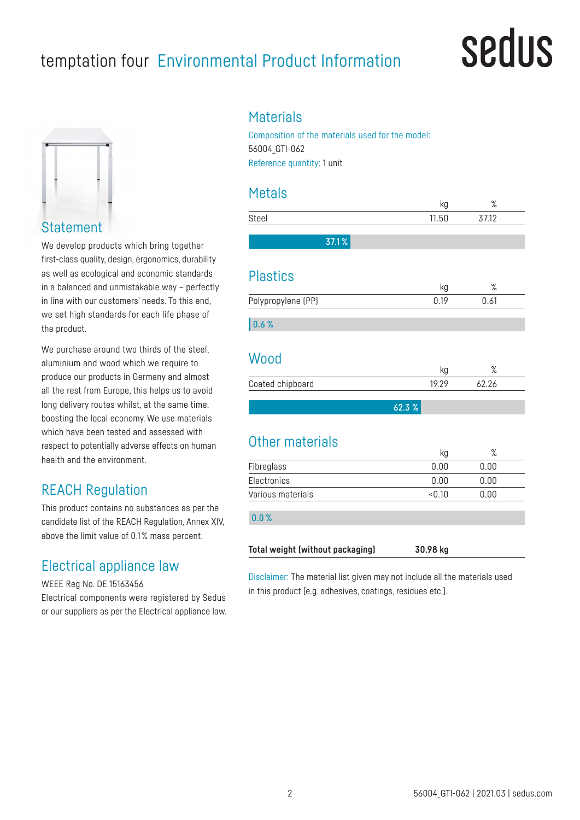## temptation four Environmental Product Information

## **Sedus**



**Statement** 

We develop products which bring together first-class quality, design, ergonomics, durability as well as ecological and economic standards in a balanced and unmistakable way – perfectly in line with our customers' needs. To this end, we set high standards for each life phase of the product.

We purchase around two thirds of the steel, aluminium and wood which we require to produce our products in Germany and almost all the rest from Europe, this helps us to avoid long delivery routes whilst, at the same time, boosting the local economy. We use materials which have been tested and assessed with respect to potentially adverse effects on human health and the environment.

## REACH Regulation

This product contains no substances as per the candidate list of the REACH Regulation, Annex XIV, above the limit value of 0.1 % mass percent.

## Electrical appliance law

WEEE Reg No. DE 15163456

Electrical components were registered by Sedus or our suppliers as per the Electrical appliance law.

## **Materials**

Composition of the materials used for the model: 56004\_GTI-062 Reference quantity: 1 unit

## Metals

|                                  | kg          | %            |
|----------------------------------|-------------|--------------|
| Steel                            | 11.50       | 37.12        |
| 37.1%                            |             |              |
| <b>Plastics</b>                  |             |              |
| Polypropylene (PP)               | kg<br>0.19  | $\%$<br>0.61 |
|                                  |             |              |
| 0.6%                             |             |              |
| Wood                             |             |              |
| Coated chipboard                 | kg<br>19.29 | %<br>62.26   |
|                                  |             |              |
|                                  | 62.3%       |              |
| Other materials                  |             |              |
|                                  | kg          | $\%$         |
| Fibreglass                       | 0.00        | 0.00         |
| Electronics                      | 0.00        | 0.00         |
| Various materials                | &0.10       | 0.00         |
| 0.0%                             |             |              |
| Total weight (without packaging) | 30.98 kg    |              |

Disclaimer: The material list given may not include all the materials used in this product (e.g. adhesives, coatings, residues etc.).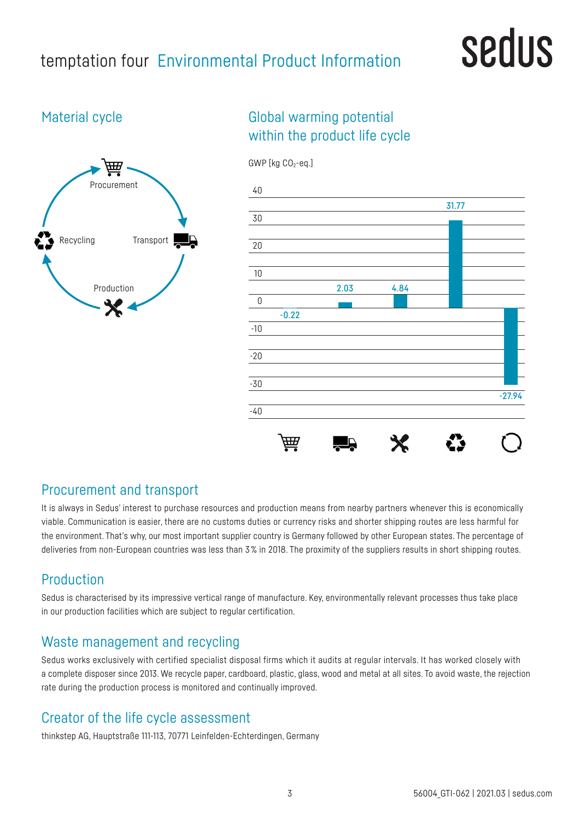## temptation four Environmental Product Information

## sedus

## Material cycle



## Global warming potential within the product life cycle



## Procurement and transport

It is always in Sedus' interest to purchase resources and production means from nearby partners whenever this is economically viable. Communication is easier, there are no customs duties or currency risks and shorter shipping routes are less harmful for the environment. That's why, our most important supplier country is Germany followed by other European states. The percentage of deliveries from non-European countries was less than 3% in 2018. The proximity of the suppliers results in short shipping routes.

## Production

Sedus is characterised by its impressive vertical range of manufacture. Key, environmentally relevant processes thus take place in our production facilities which are subject to regular certification.

## Waste management and recycling

Sedus works exclusively with certified specialist disposal firms which it audits at regular intervals. It has worked closely with a complete disposer since 2013. We recycle paper, cardboard, plastic, glass, wood and metal at all sites. To avoid waste, the rejection rate during the production process is monitored and continually improved.

## Creator of the life cycle assessment

thinkstep AG, Hauptstraße 111-113, 70771 Leinfelden-Echterdingen, Germany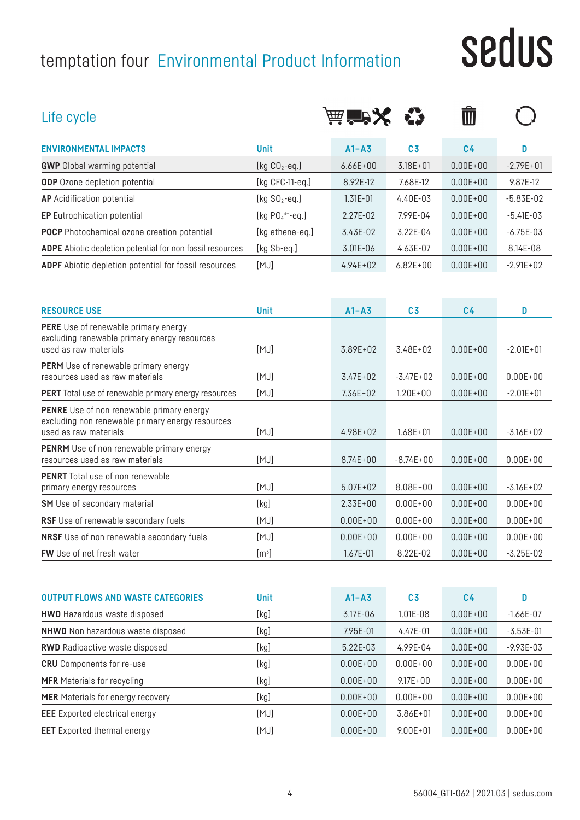## temptation four Environmental Product Information

# sedus

| Life cycle                                                                                                                    |                       | <b>  益音学文</b> |                | $\blacksquare$ |               |
|-------------------------------------------------------------------------------------------------------------------------------|-----------------------|---------------|----------------|----------------|---------------|
| <b>ENVIRONMENTAL IMPACTS</b>                                                                                                  | <b>Unit</b>           | $A1 - A3$     | C <sub>3</sub> | C <sub>4</sub> | D             |
| <b>GWP</b> Global warming potential                                                                                           | [kg $CO2$ -eq.]       | $6.66E + 00$  | $3.18E + 01$   | $0.00E + 00$   | $-2.79E + 01$ |
| <b>ODP</b> Ozone depletion potential                                                                                          | [kg CFC-11-eq.]       | 8.92E-12      | 7.68E-12       | $0.00E + 00$   | 9.87E-12      |
| <b>AP</b> Acidification potential                                                                                             | [kg $SO2$ -eq.]       | $1.31E - 01$  | 4.40E-03       | $0.00E + 00$   | $-5.83E-02$   |
| <b>EP</b> Eutrophication potential                                                                                            | [kg $PO_4^{3-}$ -eq.] | 2.27E-02      | 7.99E-04       | $0.00E + 00$   | $-5.41E-03$   |
| <b>POCP</b> Photochemical ozone creation potential                                                                            | [kg ethene-eq.]       | 3.43E-02      | 3.22E-04       | $0.00E + 00$   | $-6.75E-03$   |
| ADPE Abiotic depletion potential for non fossil resources                                                                     | [kg Sb-eq.]           | 3.01E-06      | 4.63E-07       | $0.00E + 00$   | 8.14E-08      |
| <b>ADPF</b> Abiotic depletion potential for fossil resources                                                                  | [MJ]                  | $4.94E + 02$  | $6.82E + 00$   | $0.00E + 00$   | $-2.91E + 02$ |
|                                                                                                                               |                       |               |                |                |               |
| <b>RESOURCE USE</b>                                                                                                           | <b>Unit</b>           | $A1 - A3$     | C <sub>3</sub> | C <sub>4</sub> | D             |
| <b>PERE</b> Use of renewable primary energy<br>excluding renewable primary energy resources<br>used as raw materials          | [MJ]                  | 3.89E+02      | 3.48E+02       | $0.00E + 00$   | $-2.01E + 01$ |
| <b>PERM</b> Use of renewable primary energy<br>resources used as raw materials                                                | [MJ]                  | $3.47E + 02$  | $-3.47E + 02$  | $0.00E + 00$   | $0.00E + 00$  |
| <b>PERT</b> Total use of renewable primary energy resources                                                                   | [MJ]                  | $7.36E + 02$  | $1.20E + 00$   | $0.00E + 00$   | $-2.01E + 01$ |
| <b>PENRE</b> Use of non renewable primary energy<br>excluding non renewable primary energy resources<br>used as raw materials | [MJ]                  | $4.98E + 02$  | $1.68E + 01$   | $0.00E + 00$   | $-3.16E + 02$ |
| <b>PENRM</b> Use of non renewable primary energy<br>resources used as raw materials                                           | [MJ]                  | $8.74E + 00$  | $-8.74E+00$    | $0.00E + 00$   | $0.00E + 00$  |
| <b>PENRT</b> Total use of non renewable<br>primary energy resources                                                           | [MJ]                  | $5.07E + 02$  | $8.08E + 00$   | $0.00E + 00$   | $-3.16E + 02$ |
| <b>SM</b> Use of secondary material                                                                                           | [kg]                  | $2.33E + 00$  | $0.00E + 00$   | $0.00E + 00$   | $0.00E + 00$  |
| RSF Use of renewable secondary fuels                                                                                          | [MJ]                  | $0.00E + 00$  | $0.00E + 00$   | $0.00E + 00$   | $0.00E + 00$  |
| NRSF Use of non renewable secondary fuels                                                                                     | [MJ]                  | $0.00E + 00$  | $0.00E + 00$   | $0.00E + 00$   | $0.00E + 00$  |

| <b>OUTPUT FLOWS AND WASTE CATEGORIES</b> | <b>Unit</b> | $A1 - A3$    | C <sub>3</sub> | C4           | D             |
|------------------------------------------|-------------|--------------|----------------|--------------|---------------|
| <b>HWD</b> Hazardous waste disposed      | [kg]        | 3.17E-06     | $1.01E - 08$   | $0.00E + 00$ | $-1.66E-07$   |
| <b>NHWD</b> Non hazardous waste disposed | [kg]        | 7.95E-01     | $4.47E - 01$   | $0.00E + 00$ | $-3.53E-01$   |
| <b>RWD</b> Radioactive waste disposed    | [kg]        | 5.22E-03     | 4.99E-04       | $0.00E + 00$ | $-9.93E - 03$ |
| <b>CRU</b> Components for re-use         | [kg]        | $0.00E + 00$ | $0.00E + 00$   | $0.00E + 00$ | $0.00E + 00$  |
| <b>MFR</b> Materials for recycling       | [kg]        | $0.00E + 00$ | $9.17E + 00$   | $0.00F + 00$ | $0.00E + 00$  |
| <b>MER</b> Materials for energy recovery | [kg]        | $0.00E + 00$ | $0.00E + 00$   | $0.00E + 00$ | $0.00E + 00$  |
| <b>EEE</b> Exported electrical energy    | [MJ]        | $0.00E + 00$ | $3.86E + 01$   | $0.00E + 00$ | $0.00E + 00$  |
| <b>EET</b> Exported thermal energy       | [MJ]        | $0.00E + 00$ | $9.00E + 01$   | $0.00E + 00$ | $0.00E + 00$  |

**FW** Use of net fresh water  $[m^3]$ 

] 1.67E-01 8.22E-02 0.00E+00 -3.25E-02